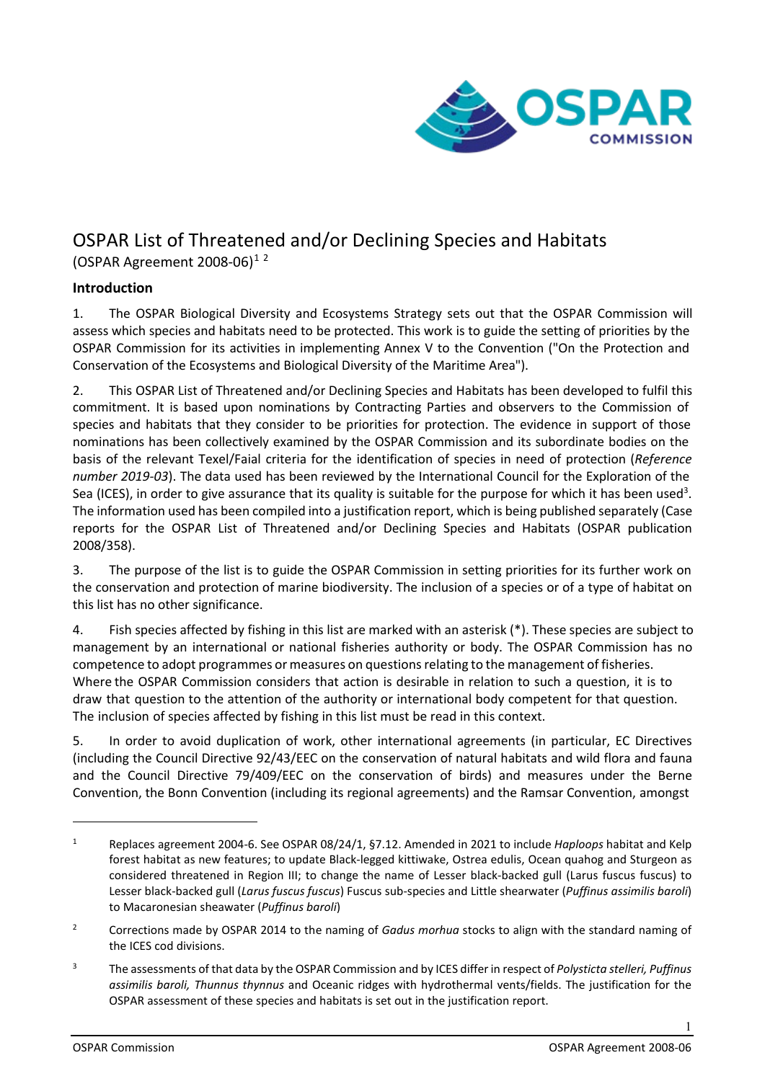

## OSPAR List of Threatened and/or Declining Species and Habitats

(OSPAR Agreement 2008-06)<sup>[1](#page-0-0)[2](#page-0-1)</sup>

## **Introduction**

1. The OSPAR Biological Diversity and Ecosystems Strategy sets out that the OSPAR Commission will assess which species and habitats need to be protected. This work is to guide the setting of priorities by the OSPAR Commission for its activities in implementing Annex V to the Convention ("On the Protection and Conservation of the Ecosystems and Biological Diversity of the Maritime Area").

2. This OSPAR List of Threatened and/or Declining Species and Habitats has been developed to fulfil this commitment. It is based upon nominations by Contracting Parties and observers to the Commission of species and habitats that they consider to be priorities for protection. The evidence in support of those nominations has been collectively examined by the OSPAR Commission and its subordinate bodies on the basis of the relevant Texel/Faial criteria for the identification of species in need of protection (*Reference number 2019-03*). The data used has been reviewed by the International Council for the Exploration of the Sea (ICES), in order to give assurance that its quality is suitable for the purpose for which it has been used<sup>[3](#page-0-2)</sup>. The information used has been compiled into a justification report, which is being published separately (Case reports for the OSPAR List of Threatened and/or Declining Species and Habitats (OSPAR publication 2008/358).

3. The purpose of the list is to guide the OSPAR Commission in setting priorities for its further work on the conservation and protection of marine biodiversity. The inclusion of a species or of a type of habitat on this list has no other significance.

4. Fish species affected by fishing in this list are marked with an asterisk (\*). These species are subject to management by an international or national fisheries authority or body. The OSPAR Commission has no competence to adopt programmes or measures on questions relating to the management of fisheries. Where the OSPAR Commission considers that action is desirable in relation to such a question, it is to draw that question to the attention of the authority or international body competent for that question. The inclusion of species affected by fishing in this list must be read in this context.

5. In order to avoid duplication of work, other international agreements (in particular, EC Directives (including the Council Directive 92/43/EEC on the conservation of natural habitats and wild flora and fauna and the Council Directive 79/409/EEC on the conservation of birds) and measures under the Berne Convention, the Bonn Convention (including its regional agreements) and the Ramsar Convention, amongst

1

<span id="page-0-0"></span><sup>1</sup> Replaces agreement 2004-6. See OSPAR 08/24/1, §7.12. Amended in 2021 to include *Haploops* habitat and Kelp forest habitat as new features; to update Black-legged kittiwake, Ostrea edulis, Ocean quahog and Sturgeon as considered threatened in Region III; to change the name of Lesser black-backed gull (Larus fuscus fuscus) to Lesser black-backed gull (*Larus fuscus fuscus*) Fuscus sub-species and Little shearwater (*Puffinus assimilis baroli*) to Macaronesian sheawater (*Puffinus baroli*)

<span id="page-0-1"></span><sup>&</sup>lt;sup>2</sup> Corrections made by OSPAR 2014 to the naming of *Gadus morhua* stocks to align with the standard naming of the ICES cod divisions.

<span id="page-0-2"></span><sup>3</sup> The assessments of that data by the OSPAR Commission and by ICES differ in respect of *Polysticta stelleri, Puffinus assimilis baroli, Thunnus thynnus* and Oceanic ridges with hydrothermal vents/fields. The justification for the OSPAR assessment of these species and habitats is set out in the justification report.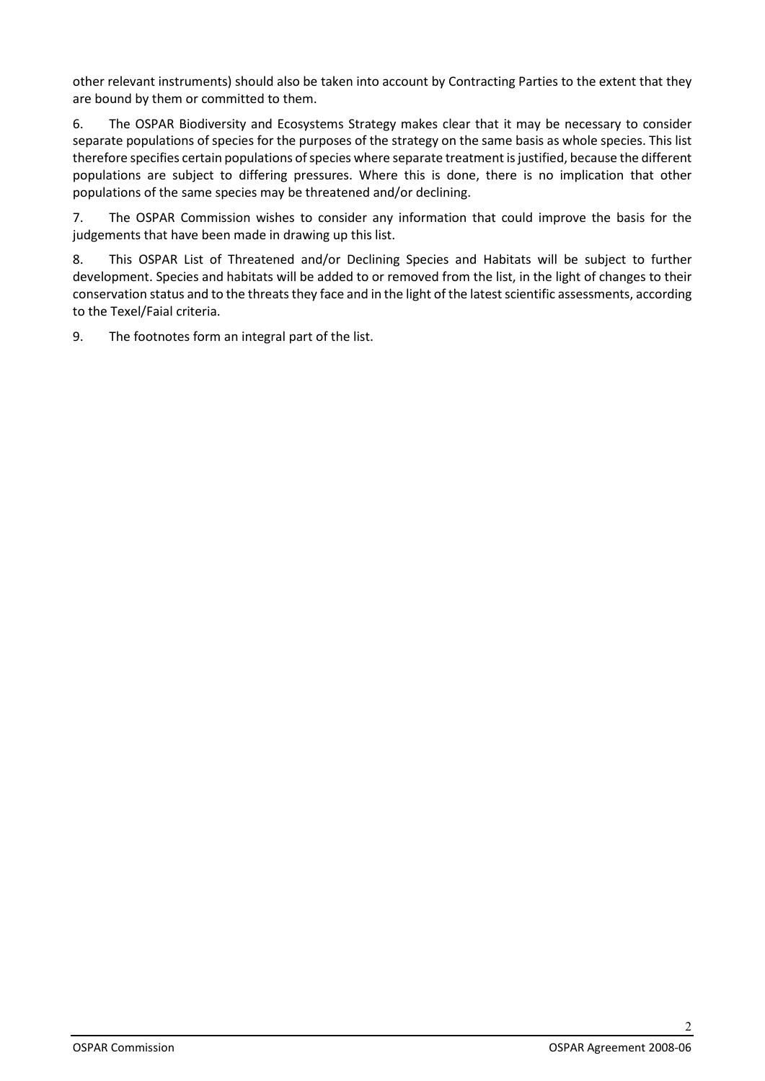other relevant instruments) should also be taken into account by Contracting Parties to the extent that they are bound by them or committed to them.

6. The OSPAR Biodiversity and Ecosystems Strategy makes clear that it may be necessary to consider separate populations of species for the purposes of the strategy on the same basis as whole species. This list therefore specifies certain populations of species where separate treatment is justified, because the different populations are subject to differing pressures. Where this is done, there is no implication that other populations of the same species may be threatened and/or declining.

7. The OSPAR Commission wishes to consider any information that could improve the basis for the judgements that have been made in drawing up this list.

8. This OSPAR List of Threatened and/or Declining Species and Habitats will be subject to further development. Species and habitats will be added to or removed from the list, in the light of changes to their conservation status and to the threats they face and in the light of the latest scientific assessments, according to the Texel/Faial criteria.

9. The footnotes form an integral part of the list.

2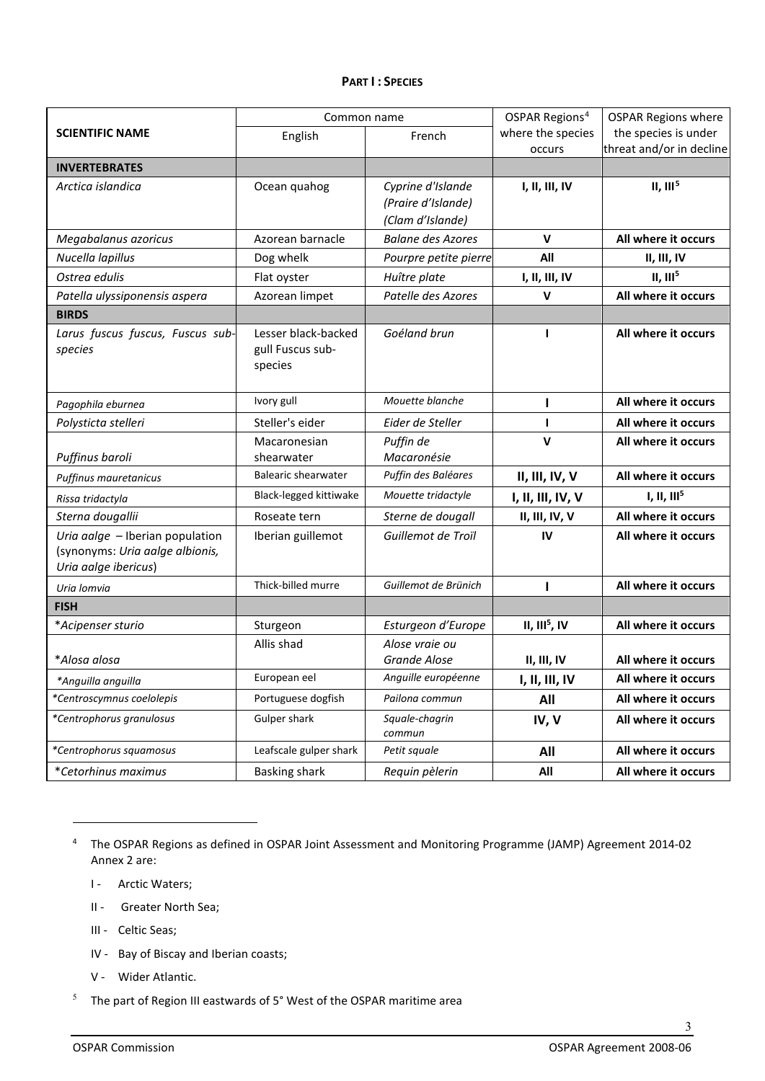## **PART I : SPECIES**

|                                  | Common name                |                          | OSPAR Regions <sup>4</sup> | <b>OSPAR Regions where</b> |
|----------------------------------|----------------------------|--------------------------|----------------------------|----------------------------|
| <b>SCIENTIFIC NAME</b>           | English                    | French                   | where the species          | the species is under       |
|                                  |                            |                          | occurs                     | threat and/or in decline   |
| <b>INVERTEBRATES</b>             |                            |                          |                            |                            |
| Arctica islandica                | Ocean quahog               | Cyprine d'Islande        | I, II, III, IV             | II, III <sup>5</sup>       |
|                                  |                            | (Praire d'Islande)       |                            |                            |
|                                  |                            | (Clam d'Islande)         |                            |                            |
| Megabalanus azoricus             | Azorean barnacle           | <b>Balane des Azores</b> | $\mathsf{V}$               | All where it occurs        |
| Nucella lapillus                 | Dog whelk                  | Pourpre petite pierre    | All                        | II, III, IV                |
| Ostrea edulis                    | Flat oyster                | Huître plate             | I, II, III, IV             | II, III <sup>5</sup>       |
| Patella ulyssiponensis aspera    | Azorean limpet             | Patelle des Azores       | $\mathbf v$                | All where it occurs        |
| <b>BIRDS</b>                     |                            |                          |                            |                            |
| Larus fuscus fuscus, Fuscus sub- | Lesser black-backed        | Goéland brun             | $\blacksquare$             | All where it occurs        |
| species                          | gull Fuscus sub-           |                          |                            |                            |
|                                  | species                    |                          |                            |                            |
|                                  |                            |                          |                            |                            |
| Pagophila eburnea                | Ivory gull                 | Mouette blanche          | $\mathbf{I}$               | All where it occurs        |
| Polysticta stelleri              | Steller's eider            | Eider de Steller         | $\mathbf{I}$               | All where it occurs        |
|                                  | Macaronesian               | Puffin de                | $\mathbf v$                | All where it occurs        |
| Puffinus baroli                  | shearwater                 | Macaronésie              |                            |                            |
| Puffinus mauretanicus            | <b>Balearic shearwater</b> | Puffin des Baléares      | II, III, IV, V             | All where it occurs        |
| Rissa tridactyla                 | Black-legged kittiwake     | Mouette tridactyle       | I, II, III, IV, V          | I, II, III <sup>5</sup>    |
| Sterna dougallii                 | Roseate tern               | Sterne de dougall        | II, III, IV, V             | All where it occurs        |
| Uria aalge - Iberian population  | Iberian guillemot          | Guillemot de Troïl       | IV                         | All where it occurs        |
| (synonyms: Uria aalge albionis,  |                            |                          |                            |                            |
| Uria aalge ibericus)             |                            |                          |                            |                            |
| Uria lomvia                      | Thick-billed murre         | Guillemot de Brünich     | 1                          | All where it occurs        |
| <b>FISH</b>                      |                            |                          |                            |                            |
| *Acipenser sturio                | Sturgeon                   | Esturgeon d'Europe       | II, III <sup>5</sup> , IV  | All where it occurs        |
|                                  | Allis shad                 | Alose vraie ou           |                            |                            |
| *Alosa alosa                     |                            | Grande Alose             | II, III, IV                | All where it occurs        |
| *Anguilla anguilla               | European eel               | Anquille européenne      | I, II, III, IV             | All where it occurs        |
| *Centroscymnus coelolepis        | Portuguese dogfish         | Pailona commun           | All                        | All where it occurs        |
| *Centrophorus granulosus         | Gulper shark               | Squale-chagrin           | IV, V                      | All where it occurs        |
| *Centrophorus squamosus          | Leafscale gulper shark     | commun<br>Petit squale   | All                        | All where it occurs        |
|                                  |                            |                          |                            |                            |
| *Cetorhinus maximus              | <b>Basking shark</b>       | Requin pèlerin           | All                        | All where it occurs        |

<span id="page-2-0"></span><sup>4</sup> The OSPAR Regions as defined in OSPAR Joint Assessment and Monitoring Programme (JAMP) Agreement 2014-02 Annex 2 are:

- I Arctic Waters;
- II Greater North Sea;
- III Celtic Seas;
- IV Bay of Biscay and Iberian coasts;
- V Wider Atlantic.

<span id="page-2-1"></span> $5$  The part of Region III eastwards of  $5^{\circ}$  West of the OSPAR maritime area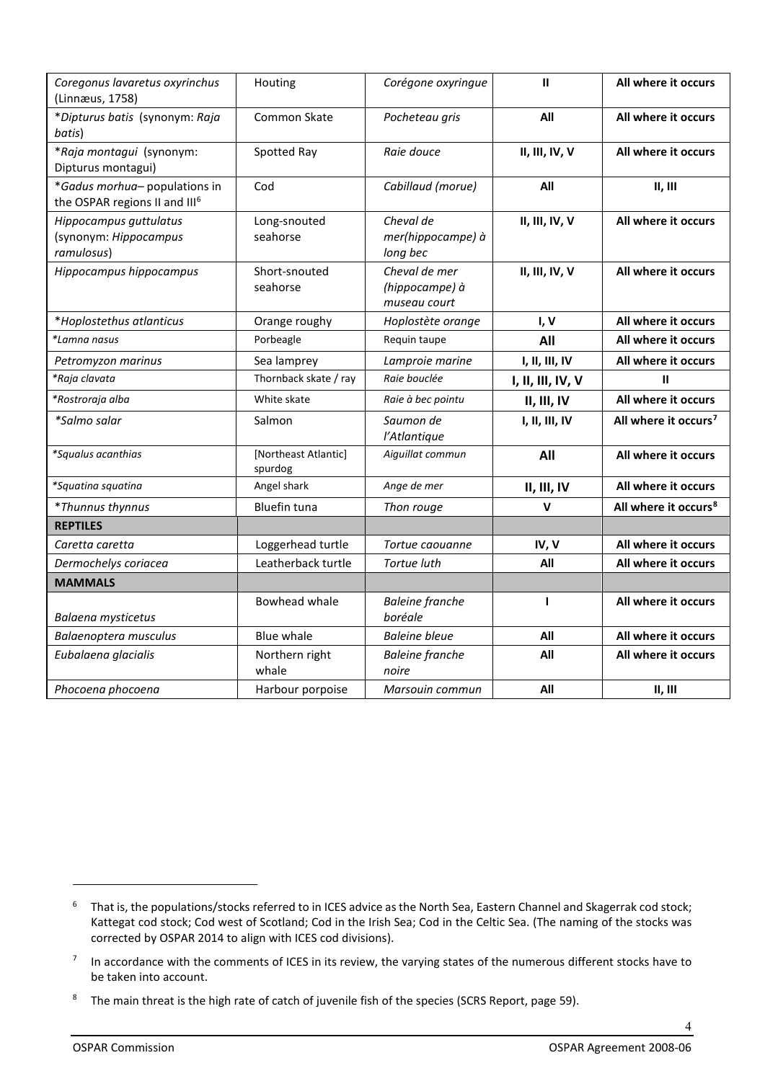| Coregonus lavaretus oxyrinchus<br>(Linnæus, 1758)                          | Houting                         | Corégone oxyringue                              | $\mathbf{H}$      | All where it occurs              |
|----------------------------------------------------------------------------|---------------------------------|-------------------------------------------------|-------------------|----------------------------------|
| *Dipturus batis (synonym: Raja<br>batis)                                   | Common Skate                    | Pocheteau gris                                  | All               | All where it occurs              |
| *Raja montagui (synonym:<br>Dipturus montagui)                             | Spotted Ray                     | Raie douce                                      | II, III, IV, V    | All where it occurs              |
| *Gadus morhua- populations in<br>the OSPAR regions II and III <sup>6</sup> | Cod                             | Cabillaud (morue)                               | All               | II, III                          |
| Hippocampus guttulatus<br>(synonym: Hippocampus<br>ramulosus)              | Long-snouted<br>seahorse        | Cheval de<br>mer(hippocampe) à<br>long bec      | II, III, IV, V    | All where it occurs              |
| Hippocampus hippocampus                                                    | Short-snouted<br>seahorse       | Cheval de mer<br>(hippocampe) à<br>museau court | II, III, IV, V    | All where it occurs              |
| *Hoplostethus atlanticus                                                   | Orange roughy                   | Hoplostète orange                               | I, V              | All where it occurs              |
| *Lamna nasus                                                               | Porbeagle                       | Requin taupe                                    | All               | All where it occurs              |
| Petromyzon marinus                                                         | Sea lamprey                     | Lamproie marine                                 | I, II, III, IV    | All where it occurs              |
| *Raja clavata                                                              | Thornback skate / ray           | Raie bouclée                                    | I, II, III, IV, V | ш                                |
| *Rostroraja alba                                                           | White skate                     | Raie à bec pointu                               | II, III, IV       | All where it occurs              |
| *Salmo salar                                                               | Salmon                          | Saumon de<br>l'Atlantique                       | I, II, III, IV    | All where it occurs <sup>7</sup> |
| *Squalus acanthias                                                         | [Northeast Atlantic]<br>spurdog | Aiguillat commun                                | All               | All where it occurs              |
| *Squatina squatina                                                         | Angel shark                     | Ange de mer                                     | II, III, IV       | All where it occurs              |
| *Thunnus thynnus                                                           | Bluefin tuna                    | Thon rouge                                      | $\mathbf v$       | All where it occurs <sup>8</sup> |
| <b>REPTILES</b>                                                            |                                 |                                                 |                   |                                  |
| Caretta caretta                                                            | Loggerhead turtle               | Tortue caouanne                                 | IV, V             | All where it occurs              |
| Dermochelys coriacea                                                       | Leatherback turtle              | <b>Tortue luth</b>                              | All               | All where it occurs              |
| <b>MAMMALS</b>                                                             |                                 |                                                 |                   |                                  |
| Balaena mysticetus                                                         | Bowhead whale                   | <b>Baleine</b> franche<br>boréale               | $\mathbf{I}$      | All where it occurs              |
| Balaenoptera musculus                                                      | <b>Blue whale</b>               | <b>Baleine bleue</b>                            | All               | All where it occurs              |
| Eubalaena glacialis                                                        | Northern right<br>whale         | <b>Baleine</b> franche<br>noire                 | All               | All where it occurs              |
| Phocoena phocoena                                                          | Harbour porpoise                | Marsouin commun                                 | All               | II, III                          |

<span id="page-3-0"></span><sup>&</sup>lt;sup>6</sup> That is, the populations/stocks referred to in ICES advice as the North Sea, Eastern Channel and Skagerrak cod stock; Kattegat cod stock; Cod west of Scotland; Cod in the Irish Sea; Cod in the Celtic Sea. (The naming of the stocks was corrected by OSPAR 2014 to align with ICES cod divisions).

<span id="page-3-1"></span> $7$  In accordance with the comments of ICES in its review, the varying states of the numerous different stocks have to be taken into account.

<span id="page-3-2"></span><sup>&</sup>lt;sup>8</sup> The main threat is the high rate of catch of juvenile fish of the species (SCRS Report, page 59).